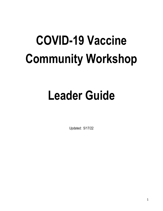# **COVID-19 Vaccine Community Workshop**

## **Leader Guide**

Updated: 5/17/22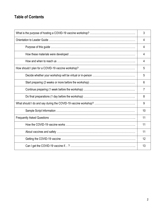## **Table of Contents**

|                                                      | 3  |
|------------------------------------------------------|----|
|                                                      | 4  |
|                                                      | 4  |
|                                                      | 4  |
|                                                      | 4  |
|                                                      | 5  |
|                                                      | 5  |
|                                                      | 6  |
|                                                      | 7  |
|                                                      | 8  |
|                                                      | 9  |
| <u> 1989 - Johann Barn, fransk politik (d. 1989)</u> | 10 |
|                                                      | 11 |
|                                                      | 11 |
|                                                      | 11 |
|                                                      | 12 |
|                                                      | 13 |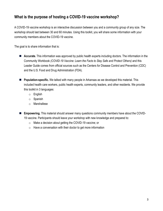## **What is the purpose of hosting a COVID-19 vaccine workshop?**

A COVID-19 vaccine workshop is an interactive discussion between you and a community group of any size. The workshop should last between 30 and 60 minutes. Using this toolkit, you will share some information with your community members about the COVID-19 vaccine.

The goal is to share information that is:

- **Accurate.** This information was approved by public health experts including doctors. The information in the Community Workbook *(COVID-19 Vaccine: Learn the Facts to Stay Safe and Protect Others)* and this Leader Guide comes from official sources such as the Centers for Disease Control and Prevention (CDC) and the U.S. Food and Drug Administration (FDA).
- **Population-specific.** We talked with many people in Arkansas as we developed this material. This included health care workers, public health experts, community leaders, and other residents. We provide this toolkit in 3 languages:
	- o English
	- o Spanish
	- o Marshallese
- **Empowering.** This material should answer many questions community members have about the COVID-19 vaccine. Participants should leave your workshop with new knowledge and prepared to:
	- o Make a decision about getting the COVID-19 vaccine; or
	- $\circ$  Have a conversation with their doctor to get more information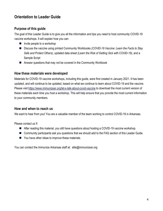## **Orientation to Leader Guide**

#### **Purpose of this guide**

The goal of this Leader Guide is to give you all the information and tips you need to host community COVID-19 vaccine workshops. It will explain how you can:

- $\blacksquare$  Invite people to a workshop
- Discuss the vaccine using printed Community Workbooks *(COVID-19 Vaccine: Learn the Facts to Stay Safe and Protect Others),* updated data sheet *(Learn the Risk of Getting Sick with COVID-19)*, and a Sample Script
- Answer questions that may not be covered in the Community Workbook

#### **How these materials were developed**

Materials for COVID-19 vaccine workshops, including this guide, were first created in January 2021. It has been updated, and will continue to be updated, based on what we continue to learn about COVID-19 and the vaccine. Please visi[t https://www.immunizear.org/let-s-talk-about-covid-vaccine](https://www.immunizear.org/let-s-talk-about-covid-vaccine) to download the most current version of these materials each time you host a workshop. This will help ensure that you provide the most current information to your community members.

#### **How and when to reach us**

We want to hear from you! You are a valuable member of the team working to control COVID-19 in Arkansas.

Please contact us if:

- After reading this material, you still have questions about hosting a COVID-19 vaccine workshop.
- Community participants ask you questions that we should add to the FAQ section of this Leader Guide.
- You have other ideas to improve these materials.

You can contact the Immunize Arkansas staff at: allie@immunizear.org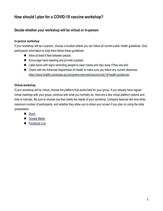## **How should I plan for a COVID-19 vaccine workshop?**

#### **Decide whether your workshop will be virtual or in-person**

#### **In-person workshop**

If your workshop will be in-person, choose a location where you can follow all current public health guidelines. Give participants information to help them follow these guidelines:

- Allow at least 6 feet between people.
- Encourage hand washing and provide supplies.
- $\blacksquare$  Label doors with signs reminding people to wear masks and stay away if they are sick.
- Check with the Arkansas Department of Health to make sure you follow any current directives: [https://www.healthy.arkansas.gov/programs-services/topics/covid-19-health-guidances.](https://www.healthy.arkansas.gov/programs-services/topics/covid-19-health-guidances)

#### **Virtual workshop**

If your workshop will be virtual, choose the platform that works best for your group. If you already have regular virtual meetings with your group, continue with what you normally do. Here are a few virtual platform options and links to tutorials. Be sure to choose one that meets the needs of your workshop. Compare features like time limits, maximum number of participants, and whether they allow you to share your screen if you plan on using the slide presentation.

- **[Zoom](https://support.zoom.us/hc/en-us/articles/206618765-Zoom-video-tutorials)**
- Google Meets
- [Facebook Live](https://blog.hubspot.com/marketing/facebook-live-guide)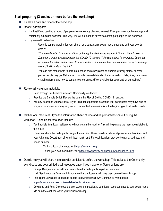#### **Start preparing (2 weeks or more before the workshop)**

- Finalize a date and time for the workshop.
- Recruit participants.
	- $\Box$  It is best if you can find a group of people who are already planning to meet. Examples are church meetings and community education sessions. This way, you will not need to advertise a lot to get people to the workshop.
	- $\Box$  If you need to advertise:
		- Use this sample wording for your church or organization's social media page and add your event's details:

*"You are all invited to a special virtual gathering this Wednesday night at 7:00 p.m. We will meet on Zoom for a group discussion about the COVID-19 vaccine. This workshop is for everyone. Come get accurate information and answers to your questions. If you are interested, comment below or message me and I will send you the link."*

You can also make flyers to post in churches and other places of worship, grocery stores, or other places people may go. Make sure to include these details about your workshop: date, time, location (or virtual platform), and how to contact you to sign up. (Flyer available for download on our website)

Review all workshop materials.

- □ Read through this Leader Guide and Community Workbook.
- $\Box$  Practice the Sample Script. Review the Learn the Risk of Getting COVID-19 handout.
- $\Box$  Ask any questions you may have. Try to think about possible questions your participants may have and be prepared to answer as many as you can. Our contact information is at the beginning of this Leader Guide.
- Gather local resources. Type this information ahead of time and be prepared to share it during the workshop. Helpful local resources include:
	- $\Box$  Testimonials from local residents who have gotten the vaccine. This will help make the message relatable to the public.
	- □ Locations where the participants can get the vaccine. These could include local pharmacies, hospitals, and your Arkansas Department of Health local health unit. For each location, provide the name, address, and phone number.
		- To find a local pharmacy, visit [https://www.arrx.org/.](https://www.arrx.org/)
		- To find your local health unit, visit [https://www.healthy.arkansas.gov/local-health-units.](https://www.healthy.arkansas.gov/local-health-units)
- Decide how you will share materials with participants before the workshop. This includes the Community Workbooks and your printed local resources page, if you made one. Some options are:
	- $\Box$  Pickup: Designate a central location and time for participants to pick up materials.
	- $\Box$  Mail: Send materials far enough in advance that participants will have them before the workshop.
	- $\Box$  Participant Download: Encourage people to download their own Community Workbooks at [https://www.immunizear.org/let-s-talk-about-covid-vaccine.](https://urldefense.proofpoint.com/v2/url?u=https-3A__www.immunizear.org_let-2Ds-2Dtalk-2Dabout-2Dcovid-2Dvaccine&d=DwMGaQ&c=27AKQ-AFTMvLXtgZ7shZqsfSXu-Fwzpqk4BoASshREk&r=YAXhQTvfFGTIe43-m74g-Q&m=2ogTjfglj6nBnskNKL0CDe8G5jOoZiaqMUKetygXdcE&s=q7Q3EcJWF5UamH6IJuCoA5mISvU1uaw2u-nwoDDUJvA&e=)
	- $\Box$  Download and Post: Download the Workbook and post it and your local resources page to your social media site or in the chat box within your virtual workshop.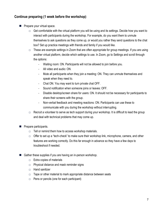#### **Continue preparing (1 week before the workshop)**

- **Prepare your virtual space.** 
	- $\Box$  Get comfortable with the virtual platform you will be using and its settings. Decide how you want to interact with participants during the workshop. For example, do you want them to unmute themselves to ask questions as they come up, or would you rather they send questions to the chat box? Set up practice meetings with friends and family if you would like.
	- $\Box$  These are example settings in Zoom that are often appropriate for group meetings. If you are using another virtual platform, decide which settings to use. In Zoom, go to Settings and scroll through the options:
		- Waiting room: ON. Participants will not be allowed to join before you.
		- All video and audio: ON.
		- Mute all participants when they join a meeting: ON. They can unmute themselves and speak when they need to.
		- Chat ON. You may want to turn private chat OFF.
		- Sound notification when someone joins or leaves: OFF.
		- Disable desktop/screen share for users: ON. It should not be necessary for participants to share their screens with the group.
		- Non-verbal feedback and meeting reactions: ON. Participants can use these to communicate with you during the workshop without interrupting.
	- $\Box$  Recruit a volunteer to serve as tech support during your workshop. It is difficult to lead the group and deal with technical problems that may come up.
- **Prepare participants.** 
	- $\Box$  Tell or remind them how to access workshop materials.
	- $\Box$  Offer to set up a "tech-check" to make sure their workshop link, microphone, camera, and other features are working correctly. Do this far enough in advance so they have a few days to troubleshoot if needed.
- Gather these supplies if you are having an in-person workshop.
	- □ Extra copies of materials
	- $\Box$  Physical distance and mask reminder signs
	- □ Hand sanitizer
	- $\Box$  Tape or other material to mark appropriate distance between seats
	- $\Box$  Pens or pencils (one for each participant)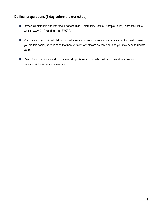#### **Do final preparations (1 day before the workshop)**

- Review all materials one last time (Leader Guide, Community Booklet, Sample Script, Learn the Risk of Getting COVID-19 handout, and FAQ's).
- **Practice using your virtual platform to make sure your microphone and camera are working well. Even if** you did this earlier, keep in mind that new versions of software do come out and you may need to update yours.
- Remind your participants about the workshop. Be sure to provide the link to the virtual event and instructions for accessing materials.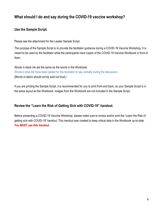### **What should I do and say during the COVID-19 vaccine workshop?**

#### **Use the Sample Script.**

Please see the attachment for the Leader Sample Script.

The purpose of the Sample Script is to provide the facilitator guidance during a COVID-19 Vaccine Workshop. It is meant to be used by the facilitator while the participants have copies of the COVID-19 Vaccine Workbook in front of them.

Words in black ink are the same as the words in the Workbook. Words in blue ink have been added for the facilitator to say verbally during the discussion. *[Words in italics should not be said out loud.]*

If you are printing the Sample Script, it is recommended for you to print front and back, so your Sample Script is in the same layout as the Workbook. Images from the Workbook are not included in the Sample Script.

#### **Review the "Learn the Risk of Getting Sick with COVID-19" handout.**

Before presenting a COVID-19 Vaccine Workshop, please make sure to review and/or print the "Learn the Risk of getting sick with COVID-19" handout. This handout was created to keep critical data in the Workbook up-to-date. **You MUST use this handout.**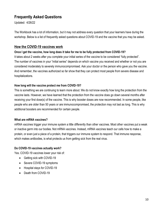## **Frequently Asked Questions**

Updated: 4/26/22

The Workbook has a lot of information, but it may not address every question that your learners have during the workshop. Below is a list of frequently asked questions about COVID-19 and the vaccine that you may be asked.

#### **How the COVID-19 vaccines work**

#### **Once I get the vaccine, how long does it take for me to be fully protected from COVID-19?**

It takes about 2 weeks after you complete your initial series of the vaccine to be considered "fully protected". The number of vaccines in your "initial series" depends on which vaccine you received and whether or not you are considered moderately to severely immunocompromised. Ask your doctor or the person who gave you the vaccine. And remember, the vaccines authorized so far show that they can protect most people from severe disease and hospitalizations.

#### **How long will the vaccine protect me from COVID-19?**

This is something we are continuing to learn more about. We do not know exactly how long the protection from the vaccine lasts. However, we have learned that the protection from the vaccine does go down several months after receiving your first dose(s) of the vaccine. This is why booster doses are now recommended. In some people, like people who are older than 50 years or are immunocompromised, the protection may not last as long. This is why additional boosters are recommended for certain people.

#### **What are mRNA vaccines?**

mRNA vaccines trigger your immune system a little differently than other vaccines. Most other vaccines put a weak or inactive germ into our bodies. Not mRNA vaccines. Instead, mRNA vaccines teach our cells how to make a protein, or even just a piece of a protein, that triggers our immune system to respond. That immune response, which makes antibodies, is what protects us from getting sick from the real virus.

#### **Do COVID-19 vaccines actually work?**

Yes. COVID-19 vaccines lower your risk of:

- Getting sick with COVID-19
- Severe COVID-19 symptoms
- Hospital stays for COVID-19
- Death from COVID-19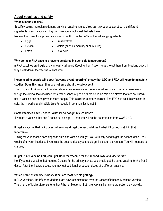#### **About vaccines and safety**

#### **What is in the vaccine?**

Specific vaccine ingredients depend on which vaccine you get. You can ask your doctor about the different ingredients in each vaccine. They can give you a fact sheet that lists these.

None of the currently approved vaccines in the U.S. contain ANY of the following ingredients:

- Eggs
- Preservatives
- Gelatin • Latex
- Metals (such as mercury or aluminum)
- Fetal cells

#### **Why do the mRNA vaccines have to be stored in such cold temperatures?**

mRNA vaccines are fragile and can easily fall apart. Keeping them frozen helps protect them from breaking down. If they break down, the vaccine will not work.

#### **I keep hearing people talk about "adverse event reporting" or say that CDC and FDA will keep doing safety studies. Does this mean they are not sure about the safety yet?**

The CDC and FDA collect information about adverse events and safety for all vaccines. This is because even though the clinical trials included tens of thousands of people, there could be rare side effects that are not known until a vaccine has been given to more people. This is similar to other vaccines. The FDA has said this vaccine is safe, that it works, and that it is time for people in communities to get it.

#### **Some vaccines have 2 doses. What if I do not get my 2nd dose?**

If you get a vaccine that has 2 doses but only get 1, then you will not be as protected from COVID-19.

#### **If I get a vaccine that is 2 doses, when should I get the second dose? What if I cannot get it in that timeframe?**

Timing for your second dose depends on which vaccine you get. You will likely need to get the second dose 3 to 4 weeks after your first dose. If you miss the second dose, you should get it as soon as you can. You will not need to start over.

#### **If I get Pfizer vaccine first, can I get Moderna vaccine for the second dose and vice versa?**

No. If you get a vaccine that requires 2 doses for the primary series, you should get the same vaccine for the first 2 doses. After the first two doses, you may get additional or booster doses of a different vaccine.

#### **Which brand of vaccine is best? What are most people getting?**

mRNA vaccines, like Pfizer or Moderna, are now recommended over the Janssen/Johnson&Johnson vaccine. There is no official preference for either Pfizer or Moderna. Both are very similar in the protection they provide.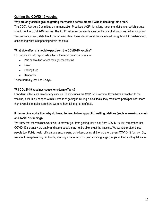#### **Getting the COVID-19 vaccine**

#### **Why are only certain groups getting the vaccine before others? Who is deciding this order?**

The CDC's Advisory Committee on Immunization Practices (ACIP) is making recommendations on which groups should get the COVID-19 vaccine. The ACIP makes recommendations on the use of all vaccines. When supply of vaccines are limited, state health departments lead these decisions at the state level using this CDC guidance and considering what is happening within the state.

#### **What side effects I should expect from the COVID-19 vaccine?**

For people who do report side effects, the most common ones are:

- Pain or swelling where they got the vaccine
- Fever
- Feeling tired
- Headache

These normally last 1 to 2 days.

#### **Will COVID-19 vaccines cause long-term effects?**

Long-term effects are rare for any vaccine. That includes the COVID-19 vaccine. If you have a reaction to the vaccine, it will likely happen within 6 weeks of getting it. During clinical trials, they monitored participants for more than 6 weeks to make sure there were no harmful long-term effects.

#### **If the vaccine works then why do I need to keep following public health guidelines (such as wearing a mask and social distancing)?**

We know that the vaccines work well to prevent you from getting really sick from COVID-19. But remember that COVID-19 spreads very easily and some people may not be able to get the vaccine. We want to protect those people too. Public health officials are encouraging us to keep using all the tools to prevent COVID-19 for now. So, we should keep washing our hands, wearing a mask in public, and avoiding large groups as long as they tell us to.